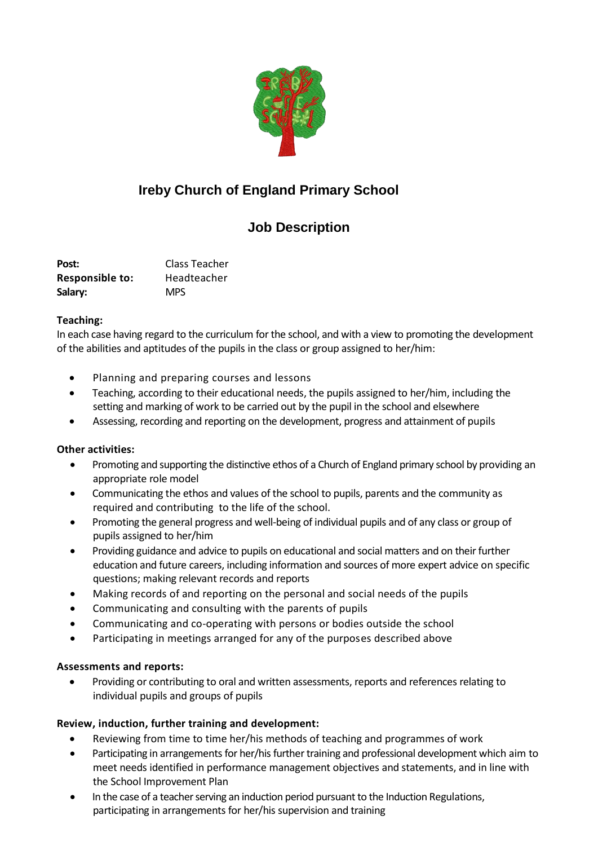

# **Ireby Church of England Primary School**

# **Job Description**

**Post:** Class Teacher **Responsible to:** Headteacher **Salary:** MPS

#### **Teaching:**

In each case having regard to the curriculum for the school, and with a view to promoting the development of the abilities and aptitudes of the pupils in the class or group assigned to her/him:

- Planning and preparing courses and lessons
- Teaching, according to their educational needs, the pupils assigned to her/him, including the setting and marking of work to be carried out by the pupil in the school and elsewhere
- Assessing, recording and reporting on the development, progress and attainment of pupils

# **Other activities:**

- Promoting and supporting the distinctive ethos of a Church of England primary school by providing an appropriate role model
- Communicating the ethos and values of the school to pupils, parents and the community as required and contributing to the life of the school.
- Promoting the general progress and well-being of individual pupils and of any class or group of pupils assigned to her/him
- Providing guidance and advice to pupils on educational and social matters and on their further education and future careers, including information and sources of more expert advice on specific questions; making relevant records and reports
- Making records of and reporting on the personal and social needs of the pupils
- Communicating and consulting with the parents of pupils
- Communicating and co-operating with persons or bodies outside the school
- Participating in meetings arranged for any of the purposes described above

# **Assessments and reports:**

 Providing or contributing to oral and written assessments, reports and references relating to individual pupils and groups of pupils

# **Review, induction, further training and development:**

- Reviewing from time to time her/his methods of teaching and programmes of work
- Participating in arrangements for her/his further training and professional development which aim to meet needs identified in performance management objectives and statements, and in line with the School Improvement Plan
- In the case of a teacher serving an induction period pursuant to the Induction Regulations, participating in arrangements for her/his supervision and training